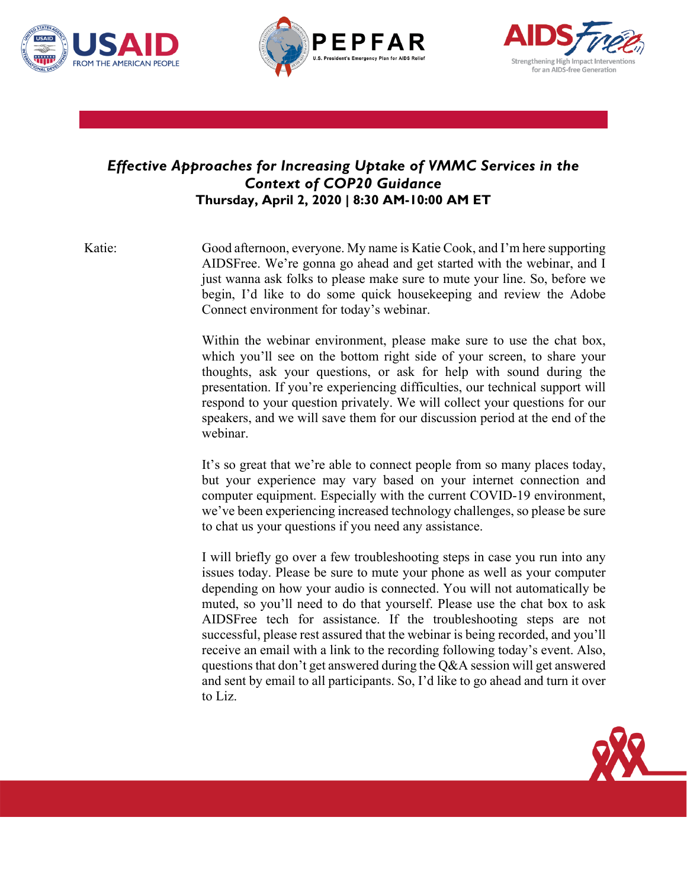





## *Effective Approaches for Increasing Uptake of VMMC Services in the Context of COP20 Guidance* **Thursday, April 2, 2020 | 8:30 AM-10:00 AM ET**

Katie: Good afternoon, everyone. My name is Katie Cook, and I'm here supporting AIDSFree. We're gonna go ahead and get started with the webinar, and I just wanna ask folks to please make sure to mute your line. So, before we begin, I'd like to do some quick housekeeping and review the Adobe Connect environment for today's webinar.

> Within the webinar environment, please make sure to use the chat box, which you'll see on the bottom right side of your screen, to share your thoughts, ask your questions, or ask for help with sound during the presentation. If you're experiencing difficulties, our technical support will respond to your question privately. We will collect your questions for our speakers, and we will save them for our discussion period at the end of the webinar.

> It's so great that we're able to connect people from so many places today, but your experience may vary based on your internet connection and computer equipment. Especially with the current COVID-19 environment, we've been experiencing increased technology challenges, so please be sure to chat us your questions if you need any assistance.

> I will briefly go over a few troubleshooting steps in case you run into any issues today. Please be sure to mute your phone as well as your computer depending on how your audio is connected. You will not automatically be muted, so you'll need to do that yourself. Please use the chat box to ask AIDSFree tech for assistance. If the troubleshooting steps are not successful, please rest assured that the webinar is being recorded, and you'll receive an email with a link to the recording following today's event. Also, questions that don't get answered during the Q&A session will get answered and sent by email to all participants. So, I'd like to go ahead and turn it over to Liz.

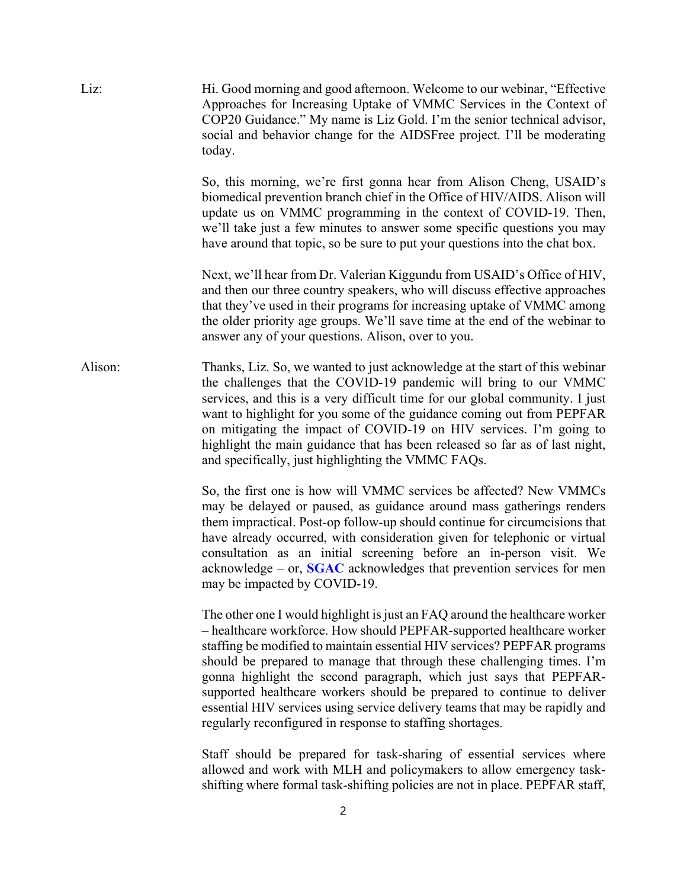| Liz:    | Hi. Good morning and good afternoon. Welcome to our webinar, "Effective"<br>Approaches for Increasing Uptake of VMMC Services in the Context of<br>COP20 Guidance." My name is Liz Gold. I'm the senior technical advisor,<br>social and behavior change for the AIDSFree project. I'll be moderating<br>today.                                                                                                                                                                                                                                                                                        |
|---------|--------------------------------------------------------------------------------------------------------------------------------------------------------------------------------------------------------------------------------------------------------------------------------------------------------------------------------------------------------------------------------------------------------------------------------------------------------------------------------------------------------------------------------------------------------------------------------------------------------|
|         | So, this morning, we're first gonna hear from Alison Cheng, USAID's<br>biomedical prevention branch chief in the Office of HIV/AIDS. Alison will<br>update us on VMMC programming in the context of COVID-19. Then,<br>we'll take just a few minutes to answer some specific questions you may<br>have around that topic, so be sure to put your questions into the chat box.                                                                                                                                                                                                                          |
|         | Next, we'll hear from Dr. Valerian Kiggundu from USAID's Office of HIV,<br>and then our three country speakers, who will discuss effective approaches<br>that they've used in their programs for increasing uptake of VMMC among<br>the older priority age groups. We'll save time at the end of the webinar to<br>answer any of your questions. Alison, over to you.                                                                                                                                                                                                                                  |
| Alison: | Thanks, Liz. So, we wanted to just acknowledge at the start of this webinar<br>the challenges that the COVID-19 pandemic will bring to our VMMC<br>services, and this is a very difficult time for our global community. I just<br>want to highlight for you some of the guidance coming out from PEPFAR<br>on mitigating the impact of COVID-19 on HIV services. I'm going to<br>highlight the main guidance that has been released so far as of last night,<br>and specifically, just highlighting the VMMC FAQs.                                                                                    |
|         | So, the first one is how will VMMC services be affected? New VMMCs<br>may be delayed or paused, as guidance around mass gatherings renders<br>them impractical. Post-op follow-up should continue for circumcisions that<br>have already occurred, with consideration given for telephonic or virtual<br>consultation as an initial screening before an in-person visit. We<br>acknowledge – or, $SGAC$ acknowledges that prevention services for men<br>may be impacted by COVID-19.                                                                                                                  |
|         | The other one I would highlight is just an FAQ around the healthcare worker<br>- healthcare workforce. How should PEPFAR-supported healthcare worker<br>staffing be modified to maintain essential HIV services? PEPFAR programs<br>should be prepared to manage that through these challenging times. I'm<br>gonna highlight the second paragraph, which just says that PEPFAR-<br>supported healthcare workers should be prepared to continue to deliver<br>essential HIV services using service delivery teams that may be rapidly and<br>regularly reconfigured in response to staffing shortages. |
|         | Staff should be prepared for task-sharing of essential services where<br>allowed and work with MLH and policymakers to allow emergency task-                                                                                                                                                                                                                                                                                                                                                                                                                                                           |

2

shifting where formal task-shifting policies are not in place. PEPFAR staff,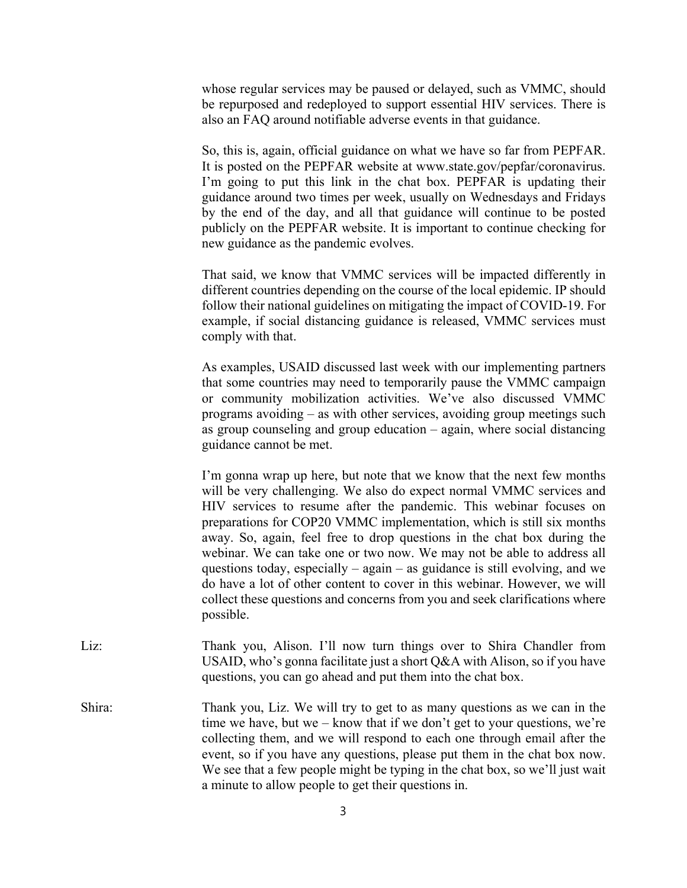whose regular services may be paused or delayed, such as VMMC, should be repurposed and redeployed to support essential HIV services. There is also an FAQ around notifiable adverse events in that guidance.

So, this is, again, official guidance on what we have so far from PEPFAR. It is posted on the PEPFAR website at www.state.gov/pepfar/coronavirus. I'm going to put this link in the chat box. PEPFAR is updating their guidance around two times per week, usually on Wednesdays and Fridays by the end of the day, and all that guidance will continue to be posted publicly on the PEPFAR website. It is important to continue checking for new guidance as the pandemic evolves.

That said, we know that VMMC services will be impacted differently in different countries depending on the course of the local epidemic. IP should follow their national guidelines on mitigating the impact of COVID-19. For example, if social distancing guidance is released, VMMC services must comply with that.

As examples, USAID discussed last week with our implementing partners that some countries may need to temporarily pause the VMMC campaign or community mobilization activities. We've also discussed VMMC programs avoiding – as with other services, avoiding group meetings such as group counseling and group education – again, where social distancing guidance cannot be met.

I'm gonna wrap up here, but note that we know that the next few months will be very challenging. We also do expect normal VMMC services and HIV services to resume after the pandemic. This webinar focuses on preparations for COP20 VMMC implementation, which is still six months away. So, again, feel free to drop questions in the chat box during the webinar. We can take one or two now. We may not be able to address all questions today, especially – again – as guidance is still evolving, and we do have a lot of other content to cover in this webinar. However, we will collect these questions and concerns from you and seek clarifications where possible.

- Liz: Thank you, Alison. I'll now turn things over to Shira Chandler from USAID, who's gonna facilitate just a short Q&A with Alison, so if you have questions, you can go ahead and put them into the chat box.
- Shira: Thank you, Liz. We will try to get to as many questions as we can in the time we have, but we – know that if we don't get to your questions, we're collecting them, and we will respond to each one through email after the event, so if you have any questions, please put them in the chat box now. We see that a few people might be typing in the chat box, so we'll just wait a minute to allow people to get their questions in.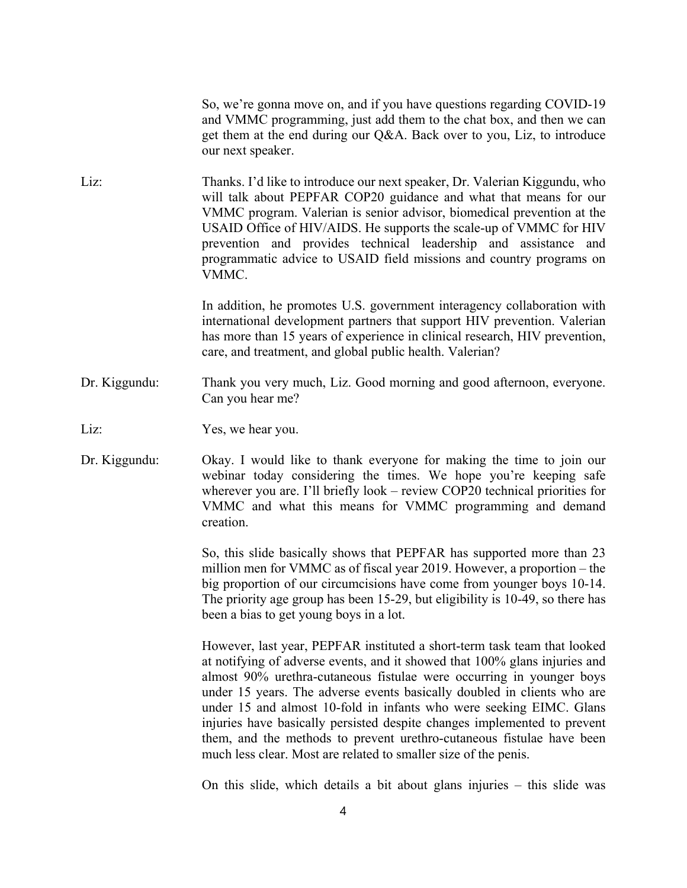So, we're gonna move on, and if you have questions regarding COVID-19 and VMMC programming, just add them to the chat box, and then we can get them at the end during our Q&A. Back over to you, Liz, to introduce our next speaker.

Liz: Thanks. I'd like to introduce our next speaker, Dr. Valerian Kiggundu, who will talk about PEPFAR COP20 guidance and what that means for our VMMC program. Valerian is senior advisor, biomedical prevention at the USAID Office of HIV/AIDS. He supports the scale-up of VMMC for HIV prevention and provides technical leadership and assistance and programmatic advice to USAID field missions and country programs on VMMC.

> In addition, he promotes U.S. government interagency collaboration with international development partners that support HIV prevention. Valerian has more than 15 years of experience in clinical research, HIV prevention, care, and treatment, and global public health. Valerian?

Dr. Kiggundu: Thank you very much, Liz. Good morning and good afternoon, everyone. Can you hear me?

Liz: Yes, we hear you.

Dr. Kiggundu: Okay. I would like to thank everyone for making the time to join our webinar today considering the times. We hope you're keeping safe wherever you are. I'll briefly look – review COP20 technical priorities for VMMC and what this means for VMMC programming and demand creation.

> So, this slide basically shows that PEPFAR has supported more than 23 million men for VMMC as of fiscal year 2019. However, a proportion – the big proportion of our circumcisions have come from younger boys 10-14. The priority age group has been 15-29, but eligibility is 10-49, so there has been a bias to get young boys in a lot.

> However, last year, PEPFAR instituted a short-term task team that looked at notifying of adverse events, and it showed that 100% glans injuries and almost 90% urethra-cutaneous fistulae were occurring in younger boys under 15 years. The adverse events basically doubled in clients who are under 15 and almost 10-fold in infants who were seeking EIMC. Glans injuries have basically persisted despite changes implemented to prevent them, and the methods to prevent urethro-cutaneous fistulae have been much less clear. Most are related to smaller size of the penis.

> On this slide, which details a bit about glans injuries – this slide was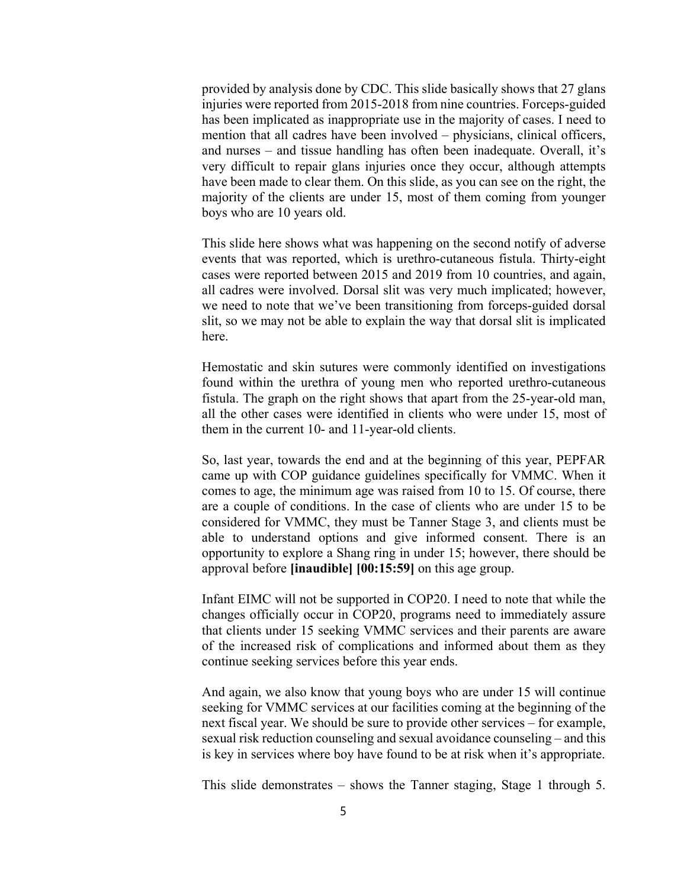provided by analysis done by CDC. This slide basically shows that 27 glans injuries were reported from 2015-2018 from nine countries. Forceps-guided has been implicated as inappropriate use in the majority of cases. I need to mention that all cadres have been involved – physicians, clinical officers, and nurses – and tissue handling has often been inadequate. Overall, it's very difficult to repair glans injuries once they occur, although attempts have been made to clear them. On this slide, as you can see on the right, the majority of the clients are under 15, most of them coming from younger boys who are 10 years old.

This slide here shows what was happening on the second notify of adverse events that was reported, which is urethro-cutaneous fistula. Thirty-eight cases were reported between 2015 and 2019 from 10 countries, and again, all cadres were involved. Dorsal slit was very much implicated; however, we need to note that we've been transitioning from forceps-guided dorsal slit, so we may not be able to explain the way that dorsal slit is implicated here.

Hemostatic and skin sutures were commonly identified on investigations found within the urethra of young men who reported urethro-cutaneous fistula. The graph on the right shows that apart from the 25-year-old man, all the other cases were identified in clients who were under 15, most of them in the current 10- and 11-year-old clients.

So, last year, towards the end and at the beginning of this year, PEPFAR came up with COP guidance guidelines specifically for VMMC. When it comes to age, the minimum age was raised from 10 to 15. Of course, there are a couple of conditions. In the case of clients who are under 15 to be considered for VMMC, they must be Tanner Stage 3, and clients must be able to understand options and give informed consent. There is an opportunity to explore a Shang ring in under 15; however, there should be approval before **[inaudible] [00:15:59]** on this age group.

Infant EIMC will not be supported in COP20. I need to note that while the changes officially occur in COP20, programs need to immediately assure that clients under 15 seeking VMMC services and their parents are aware of the increased risk of complications and informed about them as they continue seeking services before this year ends.

And again, we also know that young boys who are under 15 will continue seeking for VMMC services at our facilities coming at the beginning of the next fiscal year. We should be sure to provide other services – for example, sexual risk reduction counseling and sexual avoidance counseling – and this is key in services where boy have found to be at risk when it's appropriate.

This slide demonstrates – shows the Tanner staging, Stage 1 through 5.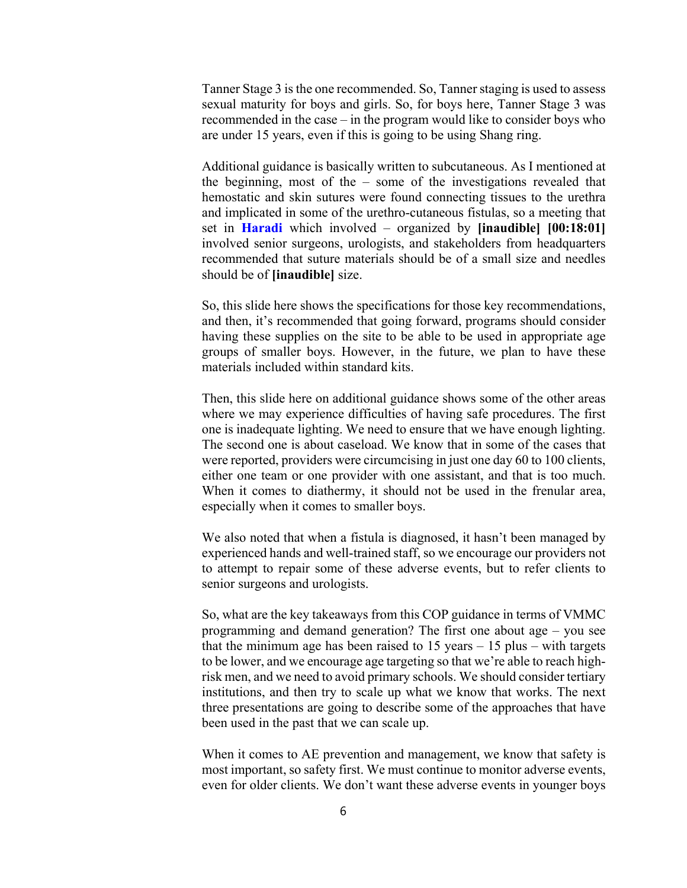Tanner Stage 3 is the one recommended. So, Tanner staging is used to assess sexual maturity for boys and girls. So, for boys here, Tanner Stage 3 was recommended in the case – in the program would like to consider boys who are under 15 years, even if this is going to be using Shang ring.

Additional guidance is basically written to subcutaneous. As I mentioned at the beginning, most of the – some of the investigations revealed that hemostatic and skin sutures were found connecting tissues to the urethra and implicated in some of the urethro-cutaneous fistulas, so a meeting that set in **Haradi** which involved – organized by **[inaudible] [00:18:01]** involved senior surgeons, urologists, and stakeholders from headquarters recommended that suture materials should be of a small size and needles should be of **[inaudible]** size.

So, this slide here shows the specifications for those key recommendations, and then, it's recommended that going forward, programs should consider having these supplies on the site to be able to be used in appropriate age groups of smaller boys. However, in the future, we plan to have these materials included within standard kits.

Then, this slide here on additional guidance shows some of the other areas where we may experience difficulties of having safe procedures. The first one is inadequate lighting. We need to ensure that we have enough lighting. The second one is about caseload. We know that in some of the cases that were reported, providers were circumcising in just one day 60 to 100 clients, either one team or one provider with one assistant, and that is too much. When it comes to diathermy, it should not be used in the frenular area, especially when it comes to smaller boys.

We also noted that when a fistula is diagnosed, it hasn't been managed by experienced hands and well-trained staff, so we encourage our providers not to attempt to repair some of these adverse events, but to refer clients to senior surgeons and urologists.

So, what are the key takeaways from this COP guidance in terms of VMMC programming and demand generation? The first one about age – you see that the minimum age has been raised to  $15$  years  $-15$  plus  $-$  with targets to be lower, and we encourage age targeting so that we're able to reach highrisk men, and we need to avoid primary schools. We should consider tertiary institutions, and then try to scale up what we know that works. The next three presentations are going to describe some of the approaches that have been used in the past that we can scale up.

When it comes to AE prevention and management, we know that safety is most important, so safety first. We must continue to monitor adverse events, even for older clients. We don't want these adverse events in younger boys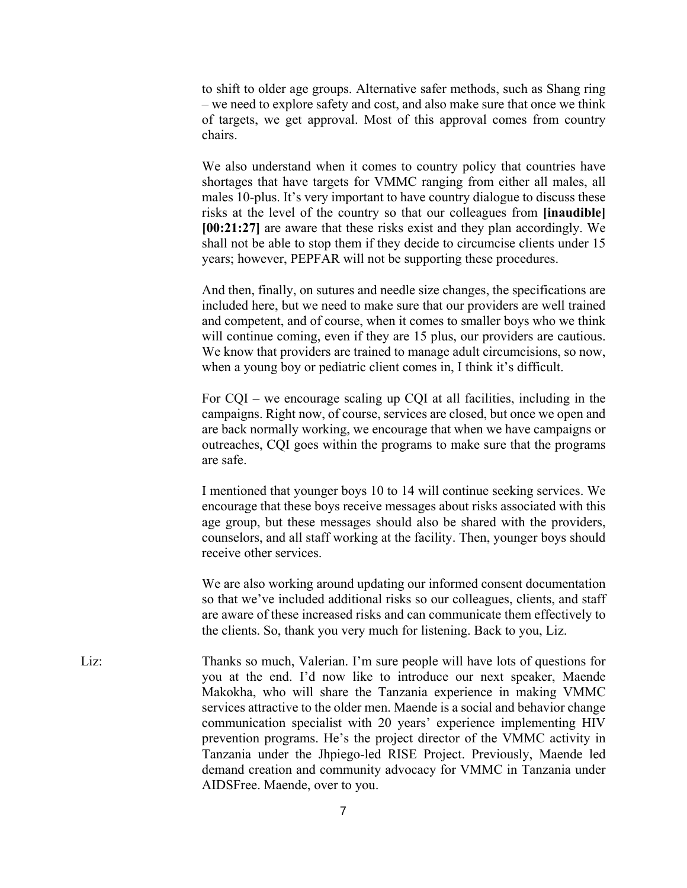to shift to older age groups. Alternative safer methods, such as Shang ring – we need to explore safety and cost, and also make sure that once we think of targets, we get approval. Most of this approval comes from country chairs.

We also understand when it comes to country policy that countries have shortages that have targets for VMMC ranging from either all males, all males 10-plus. It's very important to have country dialogue to discuss these risks at the level of the country so that our colleagues from **[inaudible] [00:21:27]** are aware that these risks exist and they plan accordingly. We shall not be able to stop them if they decide to circumcise clients under 15 years; however, PEPFAR will not be supporting these procedures.

And then, finally, on sutures and needle size changes, the specifications are included here, but we need to make sure that our providers are well trained and competent, and of course, when it comes to smaller boys who we think will continue coming, even if they are 15 plus, our providers are cautious. We know that providers are trained to manage adult circumcisions, so now, when a young boy or pediatric client comes in, I think it's difficult.

For CQI – we encourage scaling up CQI at all facilities, including in the campaigns. Right now, of course, services are closed, but once we open and are back normally working, we encourage that when we have campaigns or outreaches, CQI goes within the programs to make sure that the programs are safe.

I mentioned that younger boys 10 to 14 will continue seeking services. We encourage that these boys receive messages about risks associated with this age group, but these messages should also be shared with the providers, counselors, and all staff working at the facility. Then, younger boys should receive other services.

We are also working around updating our informed consent documentation so that we've included additional risks so our colleagues, clients, and staff are aware of these increased risks and can communicate them effectively to the clients. So, thank you very much for listening. Back to you, Liz.

Liz: Thanks so much, Valerian. I'm sure people will have lots of questions for you at the end. I'd now like to introduce our next speaker, Maende Makokha, who will share the Tanzania experience in making VMMC services attractive to the older men. Maende is a social and behavior change communication specialist with 20 years' experience implementing HIV prevention programs. He's the project director of the VMMC activity in Tanzania under the Jhpiego-led RISE Project. Previously, Maende led demand creation and community advocacy for VMMC in Tanzania under AIDSFree. Maende, over to you.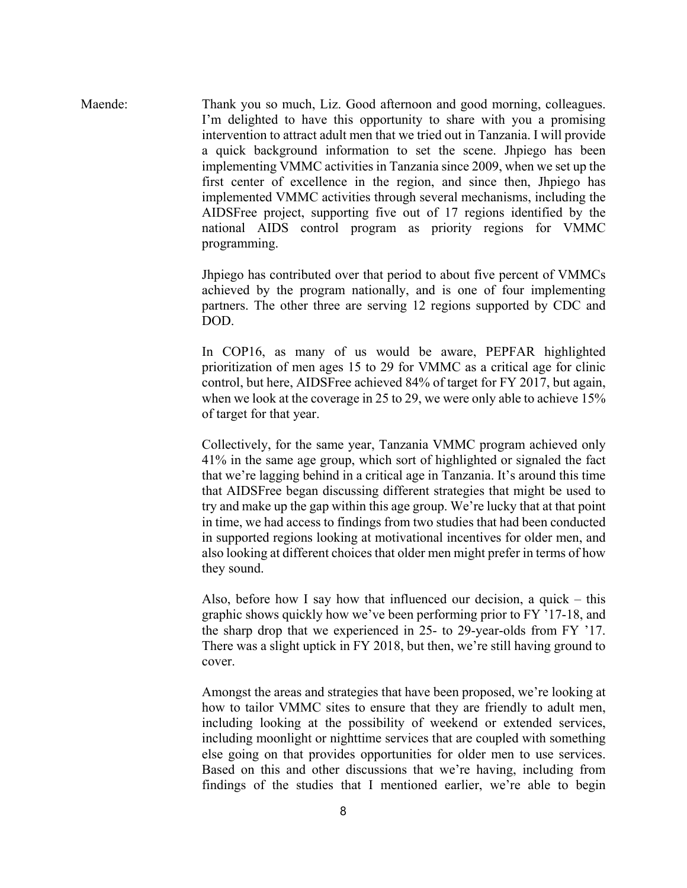Maende: Thank you so much, Liz. Good afternoon and good morning, colleagues. I'm delighted to have this opportunity to share with you a promising intervention to attract adult men that we tried out in Tanzania. I will provide a quick background information to set the scene. Jhpiego has been implementing VMMC activities in Tanzania since 2009, when we set up the first center of excellence in the region, and since then, Jhpiego has implemented VMMC activities through several mechanisms, including the AIDSFree project, supporting five out of 17 regions identified by the national AIDS control program as priority regions for VMMC programming.

> Jhpiego has contributed over that period to about five percent of VMMCs achieved by the program nationally, and is one of four implementing partners. The other three are serving 12 regions supported by CDC and DOD.

> In COP16, as many of us would be aware, PEPFAR highlighted prioritization of men ages 15 to 29 for VMMC as a critical age for clinic control, but here, AIDSFree achieved 84% of target for FY 2017, but again, when we look at the coverage in 25 to 29, we were only able to achieve 15% of target for that year.

> Collectively, for the same year, Tanzania VMMC program achieved only 41% in the same age group, which sort of highlighted or signaled the fact that we're lagging behind in a critical age in Tanzania. It's around this time that AIDSFree began discussing different strategies that might be used to try and make up the gap within this age group. We're lucky that at that point in time, we had access to findings from two studies that had been conducted in supported regions looking at motivational incentives for older men, and also looking at different choices that older men might prefer in terms of how they sound.

> Also, before how I say how that influenced our decision, a quick – this graphic shows quickly how we've been performing prior to FY '17-18, and the sharp drop that we experienced in 25- to 29-year-olds from FY '17. There was a slight uptick in FY 2018, but then, we're still having ground to cover.

> Amongst the areas and strategies that have been proposed, we're looking at how to tailor VMMC sites to ensure that they are friendly to adult men, including looking at the possibility of weekend or extended services, including moonlight or nighttime services that are coupled with something else going on that provides opportunities for older men to use services. Based on this and other discussions that we're having, including from findings of the studies that I mentioned earlier, we're able to begin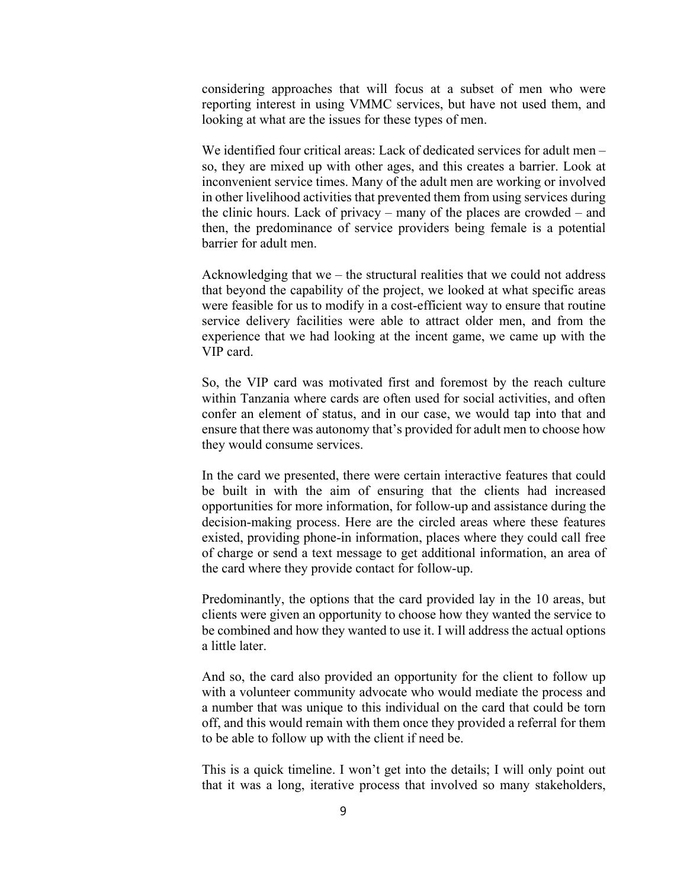considering approaches that will focus at a subset of men who were reporting interest in using VMMC services, but have not used them, and looking at what are the issues for these types of men.

We identified four critical areas: Lack of dedicated services for adult men – so, they are mixed up with other ages, and this creates a barrier. Look at inconvenient service times. Many of the adult men are working or involved in other livelihood activities that prevented them from using services during the clinic hours. Lack of privacy – many of the places are crowded – and then, the predominance of service providers being female is a potential barrier for adult men.

Acknowledging that we – the structural realities that we could not address that beyond the capability of the project, we looked at what specific areas were feasible for us to modify in a cost-efficient way to ensure that routine service delivery facilities were able to attract older men, and from the experience that we had looking at the incent game, we came up with the VIP card.

So, the VIP card was motivated first and foremost by the reach culture within Tanzania where cards are often used for social activities, and often confer an element of status, and in our case, we would tap into that and ensure that there was autonomy that's provided for adult men to choose how they would consume services.

In the card we presented, there were certain interactive features that could be built in with the aim of ensuring that the clients had increased opportunities for more information, for follow-up and assistance during the decision-making process. Here are the circled areas where these features existed, providing phone-in information, places where they could call free of charge or send a text message to get additional information, an area of the card where they provide contact for follow-up.

Predominantly, the options that the card provided lay in the 10 areas, but clients were given an opportunity to choose how they wanted the service to be combined and how they wanted to use it. I will address the actual options a little later.

And so, the card also provided an opportunity for the client to follow up with a volunteer community advocate who would mediate the process and a number that was unique to this individual on the card that could be torn off, and this would remain with them once they provided a referral for them to be able to follow up with the client if need be.

This is a quick timeline. I won't get into the details; I will only point out that it was a long, iterative process that involved so many stakeholders,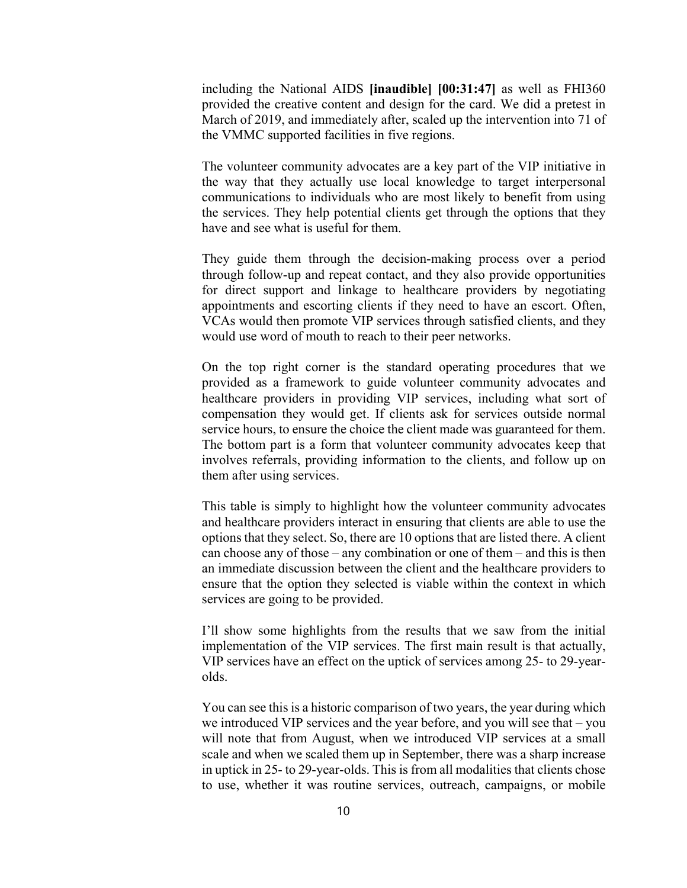including the National AIDS **[inaudible] [00:31:47]** as well as FHI360 provided the creative content and design for the card. We did a pretest in March of 2019, and immediately after, scaled up the intervention into 71 of the VMMC supported facilities in five regions.

The volunteer community advocates are a key part of the VIP initiative in the way that they actually use local knowledge to target interpersonal communications to individuals who are most likely to benefit from using the services. They help potential clients get through the options that they have and see what is useful for them.

They guide them through the decision-making process over a period through follow-up and repeat contact, and they also provide opportunities for direct support and linkage to healthcare providers by negotiating appointments and escorting clients if they need to have an escort. Often, VCAs would then promote VIP services through satisfied clients, and they would use word of mouth to reach to their peer networks.

On the top right corner is the standard operating procedures that we provided as a framework to guide volunteer community advocates and healthcare providers in providing VIP services, including what sort of compensation they would get. If clients ask for services outside normal service hours, to ensure the choice the client made was guaranteed for them. The bottom part is a form that volunteer community advocates keep that involves referrals, providing information to the clients, and follow up on them after using services.

This table is simply to highlight how the volunteer community advocates and healthcare providers interact in ensuring that clients are able to use the options that they select. So, there are 10 options that are listed there. A client can choose any of those – any combination or one of them – and this is then an immediate discussion between the client and the healthcare providers to ensure that the option they selected is viable within the context in which services are going to be provided.

I'll show some highlights from the results that we saw from the initial implementation of the VIP services. The first main result is that actually, VIP services have an effect on the uptick of services among 25- to 29-yearolds.

You can see this is a historic comparison of two years, the year during which we introduced VIP services and the year before, and you will see that – you will note that from August, when we introduced VIP services at a small scale and when we scaled them up in September, there was a sharp increase in uptick in 25- to 29-year-olds. This is from all modalities that clients chose to use, whether it was routine services, outreach, campaigns, or mobile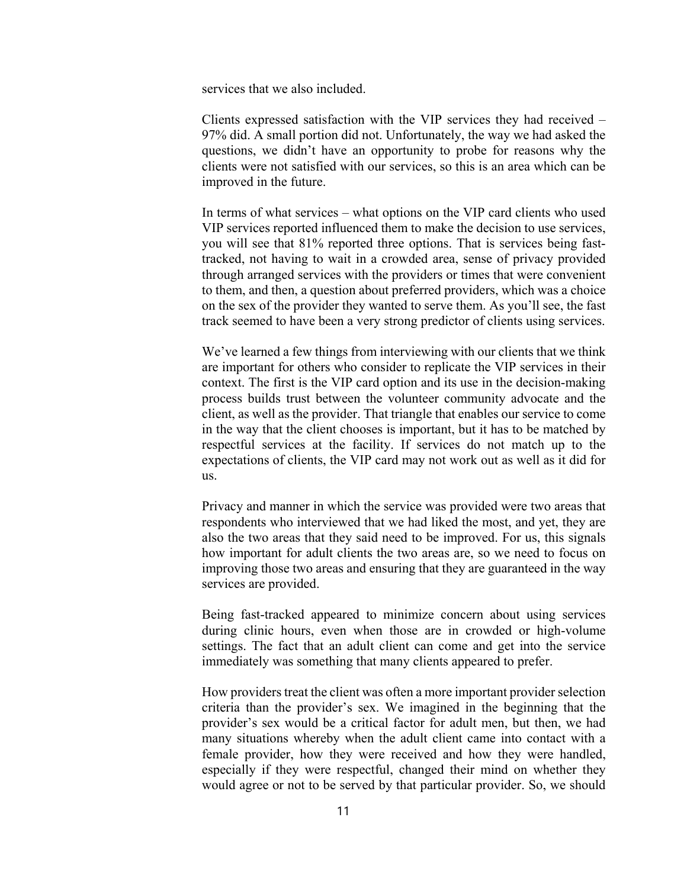services that we also included.

Clients expressed satisfaction with the VIP services they had received – 97% did. A small portion did not. Unfortunately, the way we had asked the questions, we didn't have an opportunity to probe for reasons why the clients were not satisfied with our services, so this is an area which can be improved in the future.

In terms of what services – what options on the VIP card clients who used VIP services reported influenced them to make the decision to use services, you will see that 81% reported three options. That is services being fasttracked, not having to wait in a crowded area, sense of privacy provided through arranged services with the providers or times that were convenient to them, and then, a question about preferred providers, which was a choice on the sex of the provider they wanted to serve them. As you'll see, the fast track seemed to have been a very strong predictor of clients using services.

We've learned a few things from interviewing with our clients that we think are important for others who consider to replicate the VIP services in their context. The first is the VIP card option and its use in the decision-making process builds trust between the volunteer community advocate and the client, as well as the provider. That triangle that enables our service to come in the way that the client chooses is important, but it has to be matched by respectful services at the facility. If services do not match up to the expectations of clients, the VIP card may not work out as well as it did for us.

Privacy and manner in which the service was provided were two areas that respondents who interviewed that we had liked the most, and yet, they are also the two areas that they said need to be improved. For us, this signals how important for adult clients the two areas are, so we need to focus on improving those two areas and ensuring that they are guaranteed in the way services are provided.

Being fast-tracked appeared to minimize concern about using services during clinic hours, even when those are in crowded or high-volume settings. The fact that an adult client can come and get into the service immediately was something that many clients appeared to prefer.

How providers treat the client was often a more important provider selection criteria than the provider's sex. We imagined in the beginning that the provider's sex would be a critical factor for adult men, but then, we had many situations whereby when the adult client came into contact with a female provider, how they were received and how they were handled, especially if they were respectful, changed their mind on whether they would agree or not to be served by that particular provider. So, we should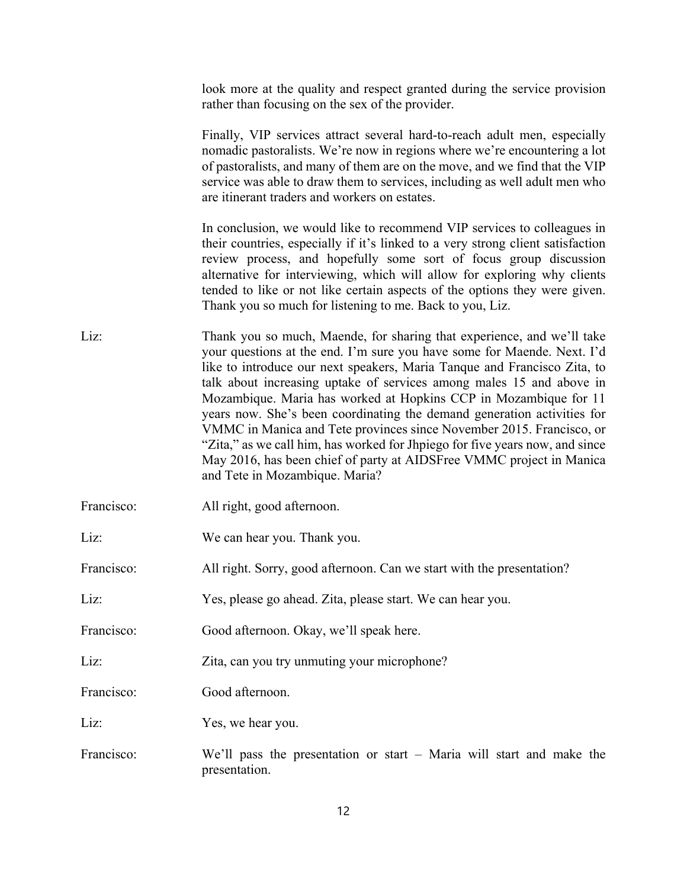look more at the quality and respect granted during the service provision rather than focusing on the sex of the provider.

Finally, VIP services attract several hard-to-reach adult men, especially nomadic pastoralists. We're now in regions where we're encountering a lot of pastoralists, and many of them are on the move, and we find that the VIP service was able to draw them to services, including as well adult men who are itinerant traders and workers on estates.

In conclusion, we would like to recommend VIP services to colleagues in their countries, especially if it's linked to a very strong client satisfaction review process, and hopefully some sort of focus group discussion alternative for interviewing, which will allow for exploring why clients tended to like or not like certain aspects of the options they were given. Thank you so much for listening to me. Back to you, Liz.

- Liz: Thank you so much, Maende, for sharing that experience, and we'll take your questions at the end. I'm sure you have some for Maende. Next. I'd like to introduce our next speakers, Maria Tanque and Francisco Zita, to talk about increasing uptake of services among males 15 and above in Mozambique. Maria has worked at Hopkins CCP in Mozambique for 11 years now. She's been coordinating the demand generation activities for VMMC in Manica and Tete provinces since November 2015. Francisco, or "Zita," as we call him, has worked for Jhpiego for five years now, and since May 2016, has been chief of party at AIDSFree VMMC project in Manica and Tete in Mozambique. Maria?
- Francisco: All right, good afternoon.
- Liz: We can hear you. Thank you.

Francisco: All right. Sorry, good afternoon. Can we start with the presentation?

Liz: Yes, please go ahead. Zita, please start. We can hear you.

Francisco: Good afternoon. Okay, we'll speak here.

Liz: Zita, can you try unmuting your microphone?

Francisco: Good afternoon.

Liz: Yes, we hear you.

Francisco: We'll pass the presentation or start – Maria will start and make the presentation.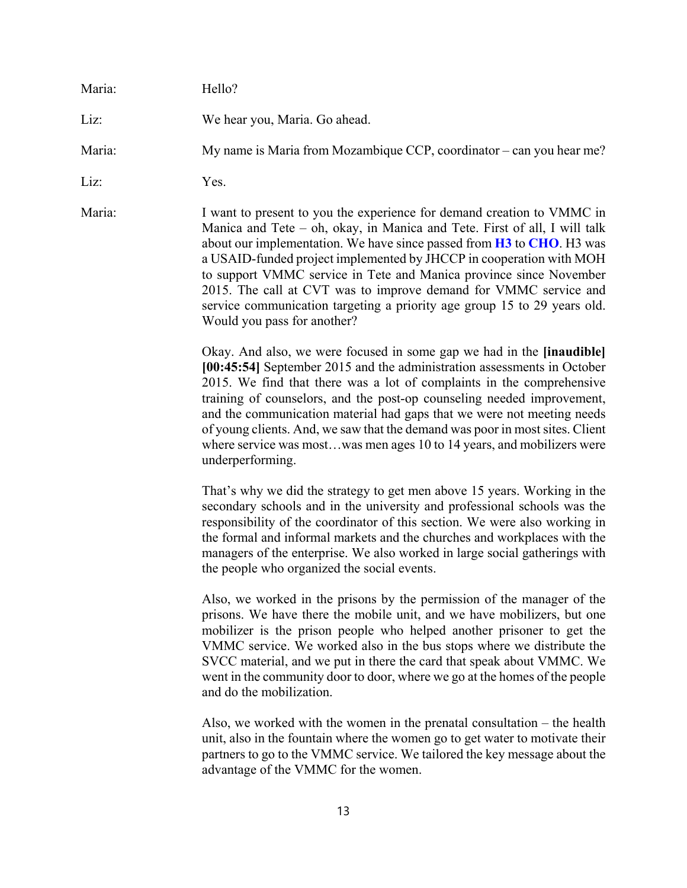| Maria: | Hello?                                                                                                                                                                                                                                                                                                                                                                                                                                                                                                                                                                  |
|--------|-------------------------------------------------------------------------------------------------------------------------------------------------------------------------------------------------------------------------------------------------------------------------------------------------------------------------------------------------------------------------------------------------------------------------------------------------------------------------------------------------------------------------------------------------------------------------|
| Liz:   | We hear you, Maria. Go ahead.                                                                                                                                                                                                                                                                                                                                                                                                                                                                                                                                           |
| Maria: | My name is Maria from Mozambique CCP, coordinator – can you hear me?                                                                                                                                                                                                                                                                                                                                                                                                                                                                                                    |
| Liz:   | Yes.                                                                                                                                                                                                                                                                                                                                                                                                                                                                                                                                                                    |
| Maria: | I want to present to you the experience for demand creation to VMMC in<br>Manica and Tete - oh, okay, in Manica and Tete. First of all, I will talk<br>about our implementation. We have since passed from <b>H3</b> to <b>CHO</b> . H3 was<br>a USAID-funded project implemented by JHCCP in cooperation with MOH<br>to support VMMC service in Tete and Manica province since November<br>2015. The call at CVT was to improve demand for VMMC service and<br>service communication targeting a priority age group 15 to 29 years old.<br>Would you pass for another? |
|        | Okay. And also, we were focused in some gap we had in the <i>[inaudible]</i><br>[00:45:54] September 2015 and the administration assessments in October<br>2015. We find that there was a lot of complaints in the comprehensive<br>training of counselors, and the post-op counseling needed improvement,<br>and the communication material had gaps that we were not meeting needs<br>of young clients. And, we saw that the demand was poor in most sites. Client<br>where service was mostwas men ages 10 to 14 years, and mobilizers were<br>underperforming.      |
|        | That's why we did the strategy to get men above 15 years. Working in the<br>secondary schools and in the university and professional schools was the<br>responsibility of the coordinator of this section. We were also working in<br>the formal and informal markets and the churches and workplaces with the<br>managers of the enterprise. We also worked in large social gatherings with<br>the people who organized the social events.                                                                                                                             |
|        | Also, we worked in the prisons by the permission of the manager of the<br>prisons. We have there the mobile unit, and we have mobilizers, but one<br>mobilizer is the prison people who helped another prisoner to get the<br>VMMC service. We worked also in the bus stops where we distribute the<br>SVCC material, and we put in there the card that speak about VMMC. We<br>went in the community door to door, where we go at the homes of the people<br>and do the mobilization.                                                                                  |
|        | Also, we worked with the women in the prenatal consultation $-$ the health<br>unit, also in the fountain where the women go to get water to motivate their<br>partners to go to the VMMC service. We tailored the key message about the<br>advantage of the VMMC for the women.                                                                                                                                                                                                                                                                                         |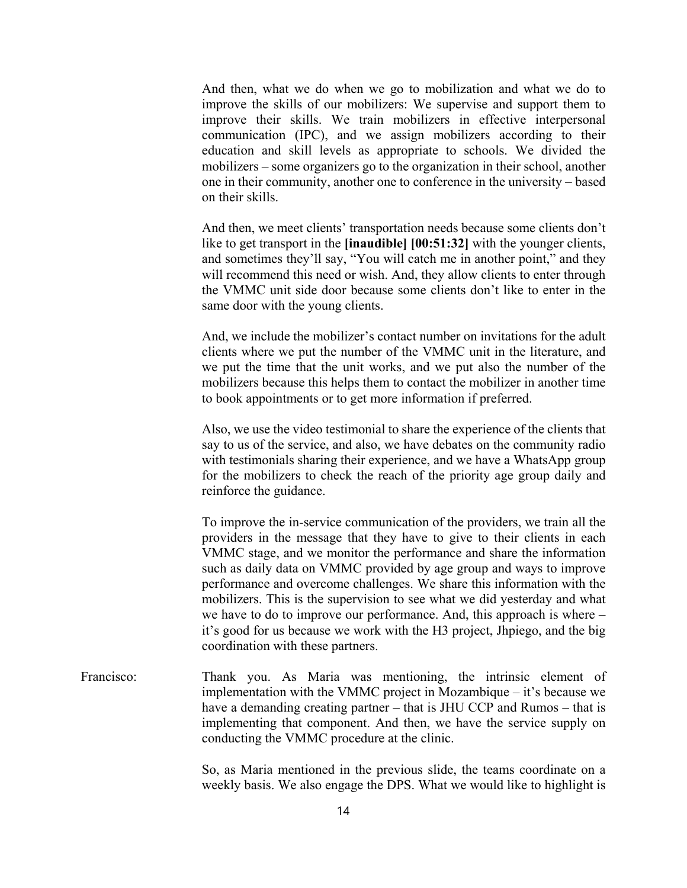And then, what we do when we go to mobilization and what we do to improve the skills of our mobilizers: We supervise and support them to improve their skills. We train mobilizers in effective interpersonal communication (IPC), and we assign mobilizers according to their education and skill levels as appropriate to schools. We divided the mobilizers – some organizers go to the organization in their school, another one in their community, another one to conference in the university – based on their skills.

And then, we meet clients' transportation needs because some clients don't like to get transport in the **[inaudible] [00:51:32]** with the younger clients, and sometimes they'll say, "You will catch me in another point," and they will recommend this need or wish. And, they allow clients to enter through the VMMC unit side door because some clients don't like to enter in the same door with the young clients.

And, we include the mobilizer's contact number on invitations for the adult clients where we put the number of the VMMC unit in the literature, and we put the time that the unit works, and we put also the number of the mobilizers because this helps them to contact the mobilizer in another time to book appointments or to get more information if preferred.

Also, we use the video testimonial to share the experience of the clients that say to us of the service, and also, we have debates on the community radio with testimonials sharing their experience, and we have a WhatsApp group for the mobilizers to check the reach of the priority age group daily and reinforce the guidance.

To improve the in-service communication of the providers, we train all the providers in the message that they have to give to their clients in each VMMC stage, and we monitor the performance and share the information such as daily data on VMMC provided by age group and ways to improve performance and overcome challenges. We share this information with the mobilizers. This is the supervision to see what we did yesterday and what we have to do to improve our performance. And, this approach is where – it's good for us because we work with the H3 project, Jhpiego, and the big coordination with these partners.

Francisco: Thank you. As Maria was mentioning, the intrinsic element of implementation with the VMMC project in Mozambique – it's because we have a demanding creating partner – that is JHU CCP and Rumos – that is implementing that component. And then, we have the service supply on conducting the VMMC procedure at the clinic.

> So, as Maria mentioned in the previous slide, the teams coordinate on a weekly basis. We also engage the DPS. What we would like to highlight is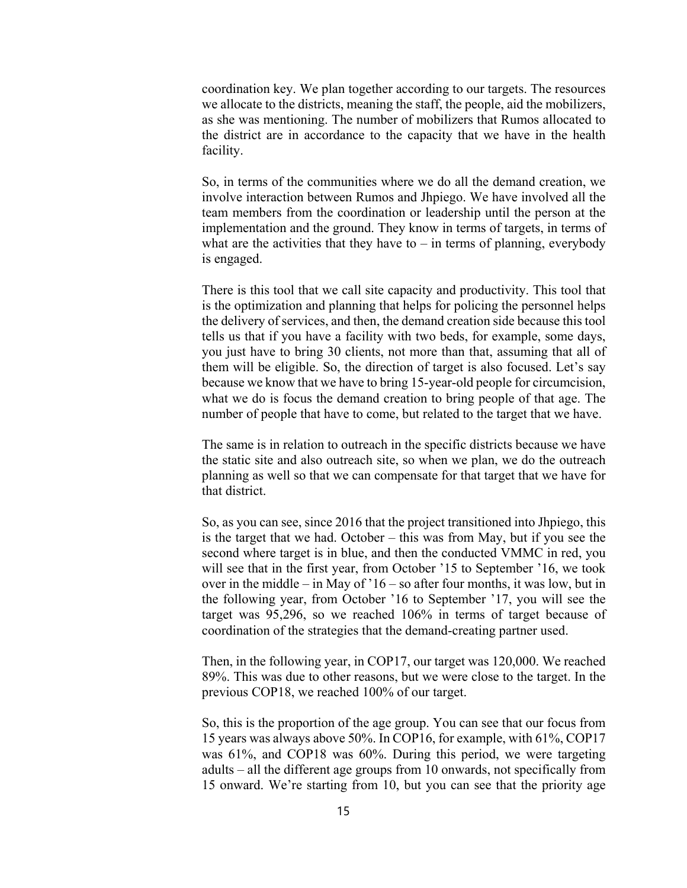coordination key. We plan together according to our targets. The resources we allocate to the districts, meaning the staff, the people, aid the mobilizers, as she was mentioning. The number of mobilizers that Rumos allocated to the district are in accordance to the capacity that we have in the health facility.

So, in terms of the communities where we do all the demand creation, we involve interaction between Rumos and Jhpiego. We have involved all the team members from the coordination or leadership until the person at the implementation and the ground. They know in terms of targets, in terms of what are the activities that they have to  $-$  in terms of planning, everybody is engaged.

There is this tool that we call site capacity and productivity. This tool that is the optimization and planning that helps for policing the personnel helps the delivery of services, and then, the demand creation side because this tool tells us that if you have a facility with two beds, for example, some days, you just have to bring 30 clients, not more than that, assuming that all of them will be eligible. So, the direction of target is also focused. Let's say because we know that we have to bring 15-year-old people for circumcision, what we do is focus the demand creation to bring people of that age. The number of people that have to come, but related to the target that we have.

The same is in relation to outreach in the specific districts because we have the static site and also outreach site, so when we plan, we do the outreach planning as well so that we can compensate for that target that we have for that district.

So, as you can see, since 2016 that the project transitioned into Jhpiego, this is the target that we had. October – this was from May, but if you see the second where target is in blue, and then the conducted VMMC in red, you will see that in the first year, from October '15 to September '16, we took over in the middle – in May of '16 – so after four months, it was low, but in the following year, from October '16 to September '17, you will see the target was 95,296, so we reached 106% in terms of target because of coordination of the strategies that the demand-creating partner used.

Then, in the following year, in COP17, our target was 120,000. We reached 89%. This was due to other reasons, but we were close to the target. In the previous COP18, we reached 100% of our target.

So, this is the proportion of the age group. You can see that our focus from 15 years was always above 50%. In COP16, for example, with 61%, COP17 was 61%, and COP18 was 60%. During this period, we were targeting adults – all the different age groups from 10 onwards, not specifically from 15 onward. We're starting from 10, but you can see that the priority age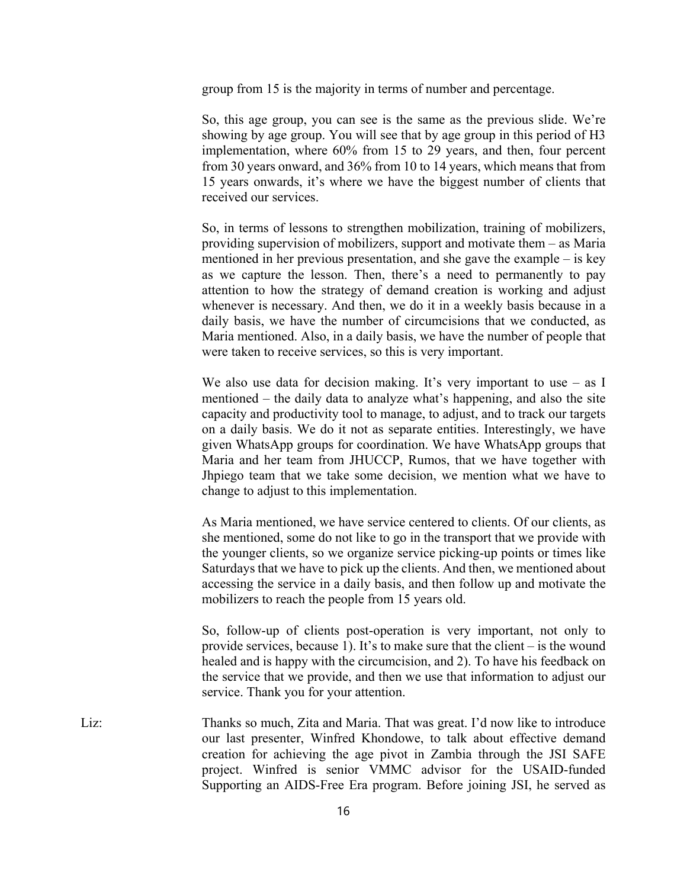group from 15 is the majority in terms of number and percentage.

So, this age group, you can see is the same as the previous slide. We're showing by age group. You will see that by age group in this period of H3 implementation, where 60% from 15 to 29 years, and then, four percent from 30 years onward, and 36% from 10 to 14 years, which means that from 15 years onwards, it's where we have the biggest number of clients that received our services.

So, in terms of lessons to strengthen mobilization, training of mobilizers, providing supervision of mobilizers, support and motivate them – as Maria mentioned in her previous presentation, and she gave the example – is key as we capture the lesson. Then, there's a need to permanently to pay attention to how the strategy of demand creation is working and adjust whenever is necessary. And then, we do it in a weekly basis because in a daily basis, we have the number of circumcisions that we conducted, as Maria mentioned. Also, in a daily basis, we have the number of people that were taken to receive services, so this is very important.

We also use data for decision making. It's very important to use  $-$  as I mentioned – the daily data to analyze what's happening, and also the site capacity and productivity tool to manage, to adjust, and to track our targets on a daily basis. We do it not as separate entities. Interestingly, we have given WhatsApp groups for coordination. We have WhatsApp groups that Maria and her team from JHUCCP, Rumos, that we have together with Jhpiego team that we take some decision, we mention what we have to change to adjust to this implementation.

As Maria mentioned, we have service centered to clients. Of our clients, as she mentioned, some do not like to go in the transport that we provide with the younger clients, so we organize service picking-up points or times like Saturdays that we have to pick up the clients. And then, we mentioned about accessing the service in a daily basis, and then follow up and motivate the mobilizers to reach the people from 15 years old.

So, follow-up of clients post-operation is very important, not only to provide services, because 1). It's to make sure that the client – is the wound healed and is happy with the circumcision, and 2). To have his feedback on the service that we provide, and then we use that information to adjust our service. Thank you for your attention.

Liz: Thanks so much, Zita and Maria. That was great. I'd now like to introduce our last presenter, Winfred Khondowe, to talk about effective demand creation for achieving the age pivot in Zambia through the JSI SAFE project. Winfred is senior VMMC advisor for the USAID-funded Supporting an AIDS-Free Era program. Before joining JSI, he served as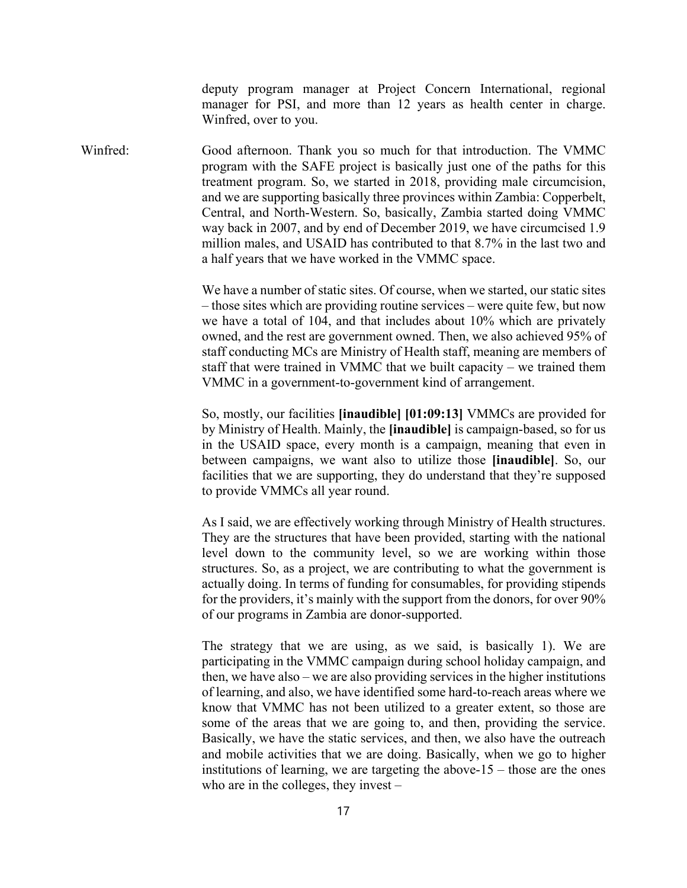deputy program manager at Project Concern International, regional manager for PSI, and more than 12 years as health center in charge. Winfred, over to you.

Winfred: Good afternoon. Thank you so much for that introduction. The VMMC program with the SAFE project is basically just one of the paths for this treatment program. So, we started in 2018, providing male circumcision, and we are supporting basically three provinces within Zambia: Copperbelt, Central, and North-Western. So, basically, Zambia started doing VMMC way back in 2007, and by end of December 2019, we have circumcised 1.9 million males, and USAID has contributed to that 8.7% in the last two and a half years that we have worked in the VMMC space.

> We have a number of static sites. Of course, when we started, our static sites – those sites which are providing routine services – were quite few, but now we have a total of 104, and that includes about 10% which are privately owned, and the rest are government owned. Then, we also achieved 95% of staff conducting MCs are Ministry of Health staff, meaning are members of staff that were trained in VMMC that we built capacity – we trained them VMMC in a government-to-government kind of arrangement.

> So, mostly, our facilities **[inaudible] [01:09:13]** VMMCs are provided for by Ministry of Health. Mainly, the **[inaudible]** is campaign-based, so for us in the USAID space, every month is a campaign, meaning that even in between campaigns, we want also to utilize those **[inaudible]**. So, our facilities that we are supporting, they do understand that they're supposed to provide VMMCs all year round.

> As I said, we are effectively working through Ministry of Health structures. They are the structures that have been provided, starting with the national level down to the community level, so we are working within those structures. So, as a project, we are contributing to what the government is actually doing. In terms of funding for consumables, for providing stipends for the providers, it's mainly with the support from the donors, for over 90% of our programs in Zambia are donor-supported.

> The strategy that we are using, as we said, is basically 1). We are participating in the VMMC campaign during school holiday campaign, and then, we have also – we are also providing services in the higher institutions of learning, and also, we have identified some hard-to-reach areas where we know that VMMC has not been utilized to a greater extent, so those are some of the areas that we are going to, and then, providing the service. Basically, we have the static services, and then, we also have the outreach and mobile activities that we are doing. Basically, when we go to higher institutions of learning, we are targeting the above- $15$  – those are the ones who are in the colleges, they invest –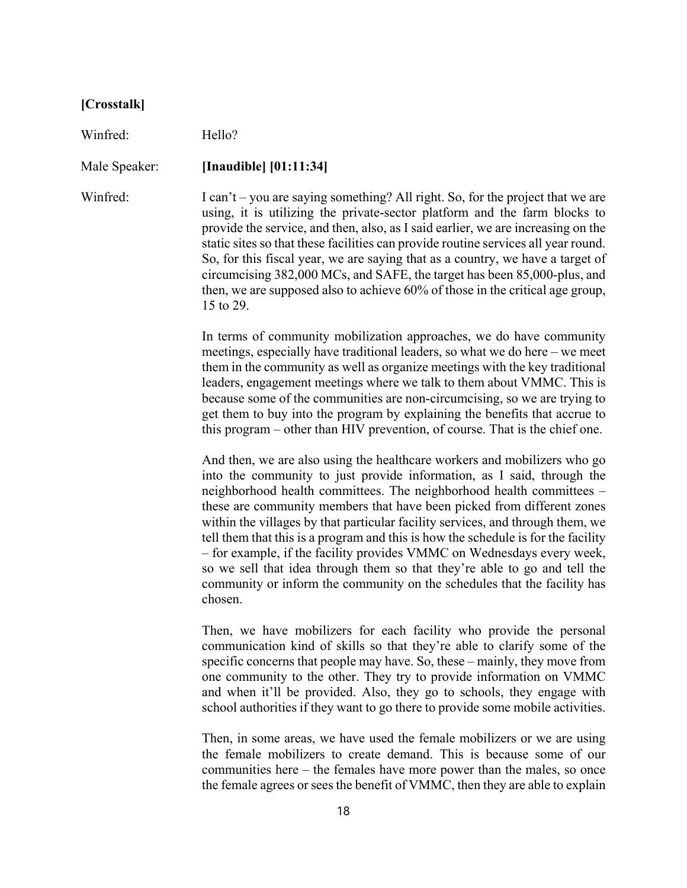## **[Crosstalk]**

Winfred: Hello?

Male Speaker: **[Inaudible] [01:11:34]**

Winfred: I can't – you are saying something? All right. So, for the project that we are using, it is utilizing the private-sector platform and the farm blocks to provide the service, and then, also, as I said earlier, we are increasing on the static sites so that these facilities can provide routine services all year round. So, for this fiscal year, we are saying that as a country, we have a target of circumcising 382,000 MCs, and SAFE, the target has been 85,000-plus, and then, we are supposed also to achieve 60% of those in the critical age group, 15 to 29.

> In terms of community mobilization approaches, we do have community meetings, especially have traditional leaders, so what we do here – we meet them in the community as well as organize meetings with the key traditional leaders, engagement meetings where we talk to them about VMMC. This is because some of the communities are non-circumcising, so we are trying to get them to buy into the program by explaining the benefits that accrue to this program – other than HIV prevention, of course. That is the chief one.

> And then, we are also using the healthcare workers and mobilizers who go into the community to just provide information, as I said, through the neighborhood health committees. The neighborhood health committees – these are community members that have been picked from different zones within the villages by that particular facility services, and through them, we tell them that this is a program and this is how the schedule is for the facility – for example, if the facility provides VMMC on Wednesdays every week, so we sell that idea through them so that they're able to go and tell the community or inform the community on the schedules that the facility has chosen.

> Then, we have mobilizers for each facility who provide the personal communication kind of skills so that they're able to clarify some of the specific concerns that people may have. So, these – mainly, they move from one community to the other. They try to provide information on VMMC and when it'll be provided. Also, they go to schools, they engage with school authorities if they want to go there to provide some mobile activities.

> Then, in some areas, we have used the female mobilizers or we are using the female mobilizers to create demand. This is because some of our communities here – the females have more power than the males, so once the female agrees or sees the benefit of VMMC, then they are able to explain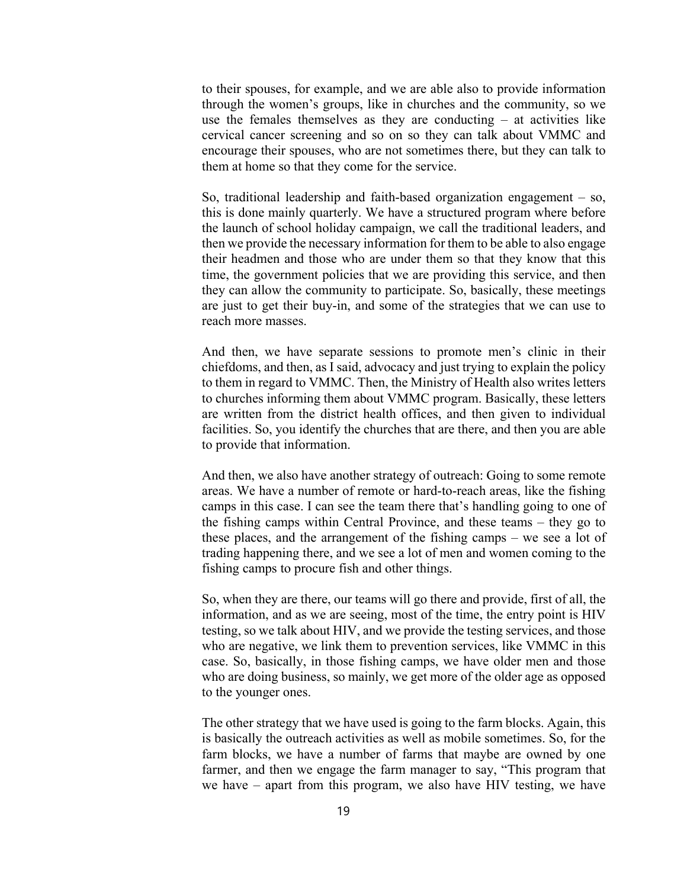to their spouses, for example, and we are able also to provide information through the women's groups, like in churches and the community, so we use the females themselves as they are conducting – at activities like cervical cancer screening and so on so they can talk about VMMC and encourage their spouses, who are not sometimes there, but they can talk to them at home so that they come for the service.

So, traditional leadership and faith-based organization engagement – so, this is done mainly quarterly. We have a structured program where before the launch of school holiday campaign, we call the traditional leaders, and then we provide the necessary information for them to be able to also engage their headmen and those who are under them so that they know that this time, the government policies that we are providing this service, and then they can allow the community to participate. So, basically, these meetings are just to get their buy-in, and some of the strategies that we can use to reach more masses.

And then, we have separate sessions to promote men's clinic in their chiefdoms, and then, as I said, advocacy and just trying to explain the policy to them in regard to VMMC. Then, the Ministry of Health also writes letters to churches informing them about VMMC program. Basically, these letters are written from the district health offices, and then given to individual facilities. So, you identify the churches that are there, and then you are able to provide that information.

And then, we also have another strategy of outreach: Going to some remote areas. We have a number of remote or hard-to-reach areas, like the fishing camps in this case. I can see the team there that's handling going to one of the fishing camps within Central Province, and these teams – they go to these places, and the arrangement of the fishing camps – we see a lot of trading happening there, and we see a lot of men and women coming to the fishing camps to procure fish and other things.

So, when they are there, our teams will go there and provide, first of all, the information, and as we are seeing, most of the time, the entry point is HIV testing, so we talk about HIV, and we provide the testing services, and those who are negative, we link them to prevention services, like VMMC in this case. So, basically, in those fishing camps, we have older men and those who are doing business, so mainly, we get more of the older age as opposed to the younger ones.

The other strategy that we have used is going to the farm blocks. Again, this is basically the outreach activities as well as mobile sometimes. So, for the farm blocks, we have a number of farms that maybe are owned by one farmer, and then we engage the farm manager to say, "This program that we have – apart from this program, we also have HIV testing, we have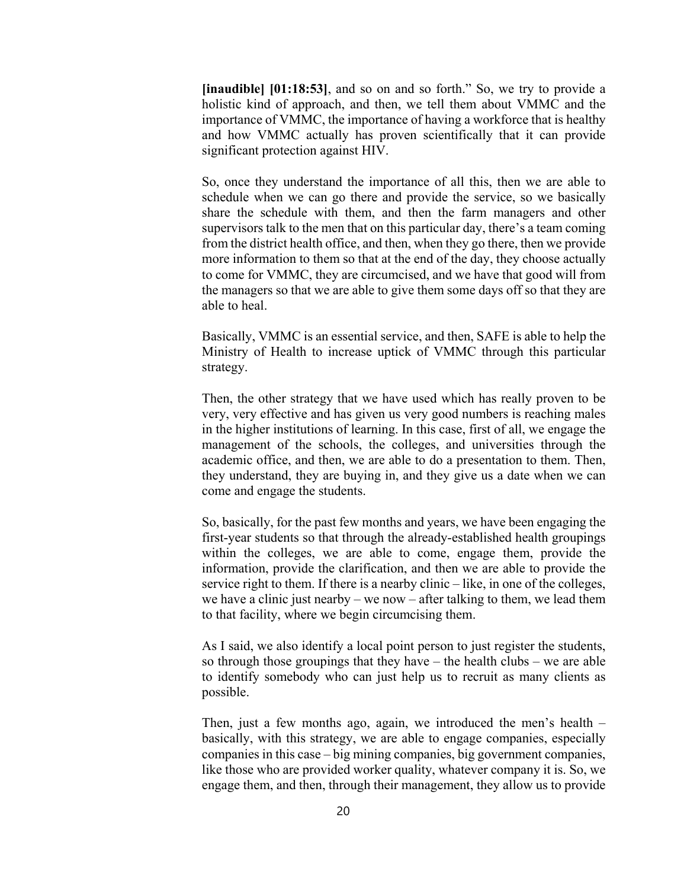**[inaudible] [01:18:53]**, and so on and so forth." So, we try to provide a holistic kind of approach, and then, we tell them about VMMC and the importance of VMMC, the importance of having a workforce that is healthy and how VMMC actually has proven scientifically that it can provide significant protection against HIV.

So, once they understand the importance of all this, then we are able to schedule when we can go there and provide the service, so we basically share the schedule with them, and then the farm managers and other supervisors talk to the men that on this particular day, there's a team coming from the district health office, and then, when they go there, then we provide more information to them so that at the end of the day, they choose actually to come for VMMC, they are circumcised, and we have that good will from the managers so that we are able to give them some days off so that they are able to heal.

Basically, VMMC is an essential service, and then, SAFE is able to help the Ministry of Health to increase uptick of VMMC through this particular strategy.

Then, the other strategy that we have used which has really proven to be very, very effective and has given us very good numbers is reaching males in the higher institutions of learning. In this case, first of all, we engage the management of the schools, the colleges, and universities through the academic office, and then, we are able to do a presentation to them. Then, they understand, they are buying in, and they give us a date when we can come and engage the students.

So, basically, for the past few months and years, we have been engaging the first-year students so that through the already-established health groupings within the colleges, we are able to come, engage them, provide the information, provide the clarification, and then we are able to provide the service right to them. If there is a nearby clinic – like, in one of the colleges, we have a clinic just nearby – we now – after talking to them, we lead them to that facility, where we begin circumcising them.

As I said, we also identify a local point person to just register the students, so through those groupings that they have  $-$  the health clubs  $-$  we are able to identify somebody who can just help us to recruit as many clients as possible.

Then, just a few months ago, again, we introduced the men's health – basically, with this strategy, we are able to engage companies, especially companies in this case – big mining companies, big government companies, like those who are provided worker quality, whatever company it is. So, we engage them, and then, through their management, they allow us to provide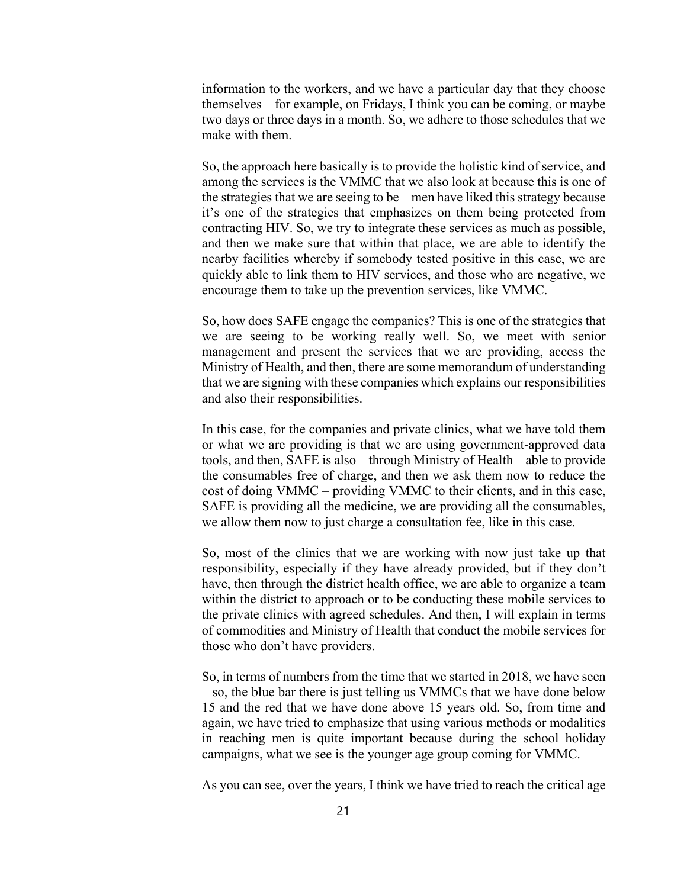information to the workers, and we have a particular day that they choose themselves – for example, on Fridays, I think you can be coming, or maybe two days or three days in a month. So, we adhere to those schedules that we make with them.

So, the approach here basically is to provide the holistic kind of service, and among the services is the VMMC that we also look at because this is one of the strategies that we are seeing to be – men have liked this strategy because it's one of the strategies that emphasizes on them being protected from contracting HIV. So, we try to integrate these services as much as possible, and then we make sure that within that place, we are able to identify the nearby facilities whereby if somebody tested positive in this case, we are quickly able to link them to HIV services, and those who are negative, we encourage them to take up the prevention services, like VMMC.

So, how does SAFE engage the companies? This is one of the strategies that we are seeing to be working really well. So, we meet with senior management and present the services that we are providing, access the Ministry of Health, and then, there are some memorandum of understanding that we are signing with these companies which explains our responsibilities and also their responsibilities.

In this case, for the companies and private clinics, what we have told them or what we are providing is that we are using government-approved data tools, and then, SAFE is also – through Ministry of Health – able to provide the consumables free of charge, and then we ask them now to reduce the cost of doing VMMC – providing VMMC to their clients, and in this case, SAFE is providing all the medicine, we are providing all the consumables, we allow them now to just charge a consultation fee, like in this case.

So, most of the clinics that we are working with now just take up that responsibility, especially if they have already provided, but if they don't have, then through the district health office, we are able to organize a team within the district to approach or to be conducting these mobile services to the private clinics with agreed schedules. And then, I will explain in terms of commodities and Ministry of Health that conduct the mobile services for those who don't have providers.

So, in terms of numbers from the time that we started in 2018, we have seen – so, the blue bar there is just telling us VMMCs that we have done below 15 and the red that we have done above 15 years old. So, from time and again, we have tried to emphasize that using various methods or modalities in reaching men is quite important because during the school holiday campaigns, what we see is the younger age group coming for VMMC.

As you can see, over the years, I think we have tried to reach the critical age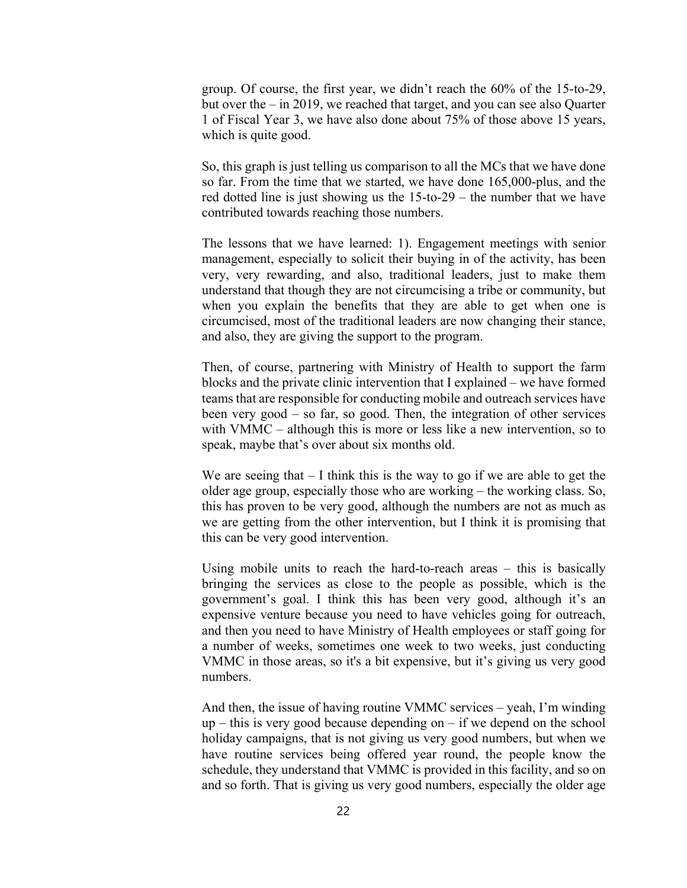group. Of course, the first year, we didn't reach the 60% of the 15-to-29, but over the – in 2019, we reached that target, and you can see also Quarter 1 of Fiscal Year 3, we have also done about 75% of those above 15 years, which is quite good.

So, this graph is just telling us comparison to all the MCs that we have done so far. From the time that we started, we have done 165,000-plus, and the red dotted line is just showing us the 15-to-29 – the number that we have contributed towards reaching those numbers.

The lessons that we have learned: 1). Engagement meetings with senior management, especially to solicit their buying in of the activity, has been very, very rewarding, and also, traditional leaders, just to make them understand that though they are not circumcising a tribe or community, but when you explain the benefits that they are able to get when one is circumcised, most of the traditional leaders are now changing their stance, and also, they are giving the support to the program.

Then, of course, partnering with Ministry of Health to support the farm blocks and the private clinic intervention that I explained – we have formed teams that are responsible for conducting mobile and outreach services have been very good – so far, so good. Then, the integration of other services with VMMC – although this is more or less like a new intervention, so to speak, maybe that's over about six months old.

We are seeing that  $-1$  think this is the way to go if we are able to get the older age group, especially those who are working – the working class. So, this has proven to be very good, although the numbers are not as much as we are getting from the other intervention, but I think it is promising that this can be very good intervention.

Using mobile units to reach the hard-to-reach areas – this is basically bringing the services as close to the people as possible, which is the government's goal. I think this has been very good, although it's an expensive venture because you need to have vehicles going for outreach, and then you need to have Ministry of Health employees or staff going for a number of weeks, sometimes one week to two weeks, just conducting VMMC in those areas, so it's a bit expensive, but it's giving us very good numbers.

And then, the issue of having routine VMMC services – yeah, I'm winding  $up$  – this is very good because depending on – if we depend on the school holiday campaigns, that is not giving us very good numbers, but when we have routine services being offered year round, the people know the schedule, they understand that VMMC is provided in this facility, and so on and so forth. That is giving us very good numbers, especially the older age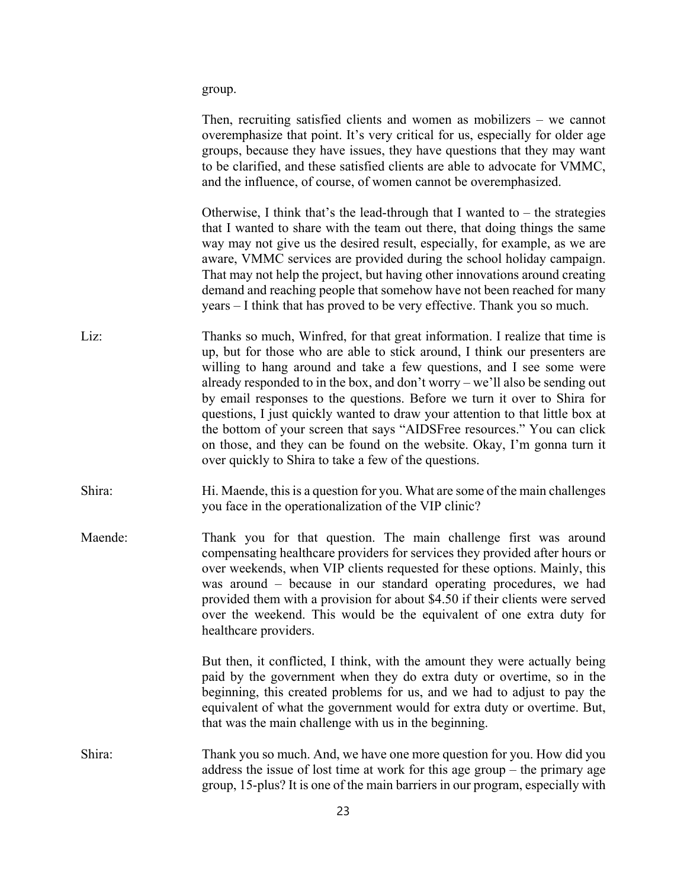group.

|         | Then, recruiting satisfied clients and women as mobilizers $-$ we cannot<br>overemphasize that point. It's very critical for us, especially for older age<br>groups, because they have issues, they have questions that they may want<br>to be clarified, and these satisfied clients are able to advocate for VMMC,<br>and the influence, of course, of women cannot be overemphasized.                                                                                                                                                                                                                                                                                                        |
|---------|-------------------------------------------------------------------------------------------------------------------------------------------------------------------------------------------------------------------------------------------------------------------------------------------------------------------------------------------------------------------------------------------------------------------------------------------------------------------------------------------------------------------------------------------------------------------------------------------------------------------------------------------------------------------------------------------------|
|         | Otherwise, I think that's the lead-through that I wanted to $-$ the strategies<br>that I wanted to share with the team out there, that doing things the same<br>way may not give us the desired result, especially, for example, as we are<br>aware, VMMC services are provided during the school holiday campaign.<br>That may not help the project, but having other innovations around creating<br>demand and reaching people that somehow have not been reached for many<br>years – I think that has proved to be very effective. Thank you so much.                                                                                                                                        |
| Liz:    | Thanks so much, Winfred, for that great information. I realize that time is<br>up, but for those who are able to stick around, I think our presenters are<br>willing to hang around and take a few questions, and I see some were<br>already responded to in the box, and don't worry $-$ we'll also be sending out<br>by email responses to the questions. Before we turn it over to Shira for<br>questions, I just quickly wanted to draw your attention to that little box at<br>the bottom of your screen that says "AIDSFree resources." You can click<br>on those, and they can be found on the website. Okay, I'm gonna turn it<br>over quickly to Shira to take a few of the questions. |
| Shira:  | Hi. Maende, this is a question for you. What are some of the main challenges<br>you face in the operationalization of the VIP clinic?                                                                                                                                                                                                                                                                                                                                                                                                                                                                                                                                                           |
| Maende: | Thank you for that question. The main challenge first was around<br>compensating healthcare providers for services they provided after hours or<br>over weekends, when VIP clients requested for these options. Mainly, this<br>was around – because in our standard operating procedures, we had<br>provided them with a provision for about \$4.50 if their clients were served<br>over the weekend. This would be the equivalent of one extra duty for<br>healthcare providers.                                                                                                                                                                                                              |
|         | But then, it conflicted, I think, with the amount they were actually being<br>paid by the government when they do extra duty or overtime, so in the<br>beginning, this created problems for us, and we had to adjust to pay the<br>equivalent of what the government would for extra duty or overtime. But,<br>that was the main challenge with us in the beginning.                                                                                                                                                                                                                                                                                                                            |
| Shira:  | Thank you so much. And, we have one more question for you. How did you<br>address the issue of lost time at work for this age group – the primary age<br>group, 15-plus? It is one of the main barriers in our program, especially with                                                                                                                                                                                                                                                                                                                                                                                                                                                         |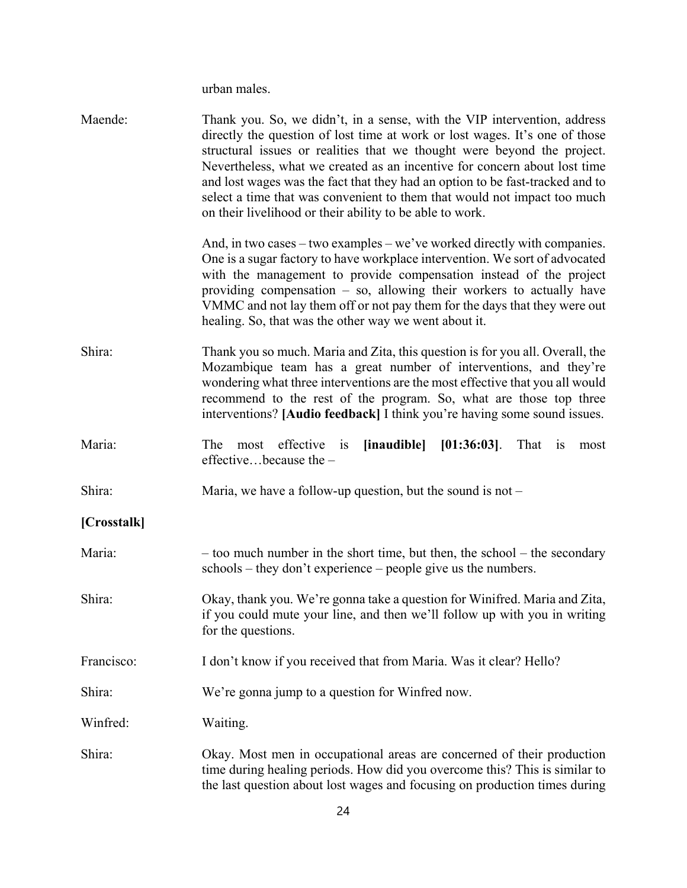urban males.

| Maende:     | Thank you. So, we didn't, in a sense, with the VIP intervention, address<br>directly the question of lost time at work or lost wages. It's one of those<br>structural issues or realities that we thought were beyond the project.<br>Nevertheless, what we created as an incentive for concern about lost time<br>and lost wages was the fact that they had an option to be fast-tracked and to<br>select a time that was convenient to them that would not impact too much<br>on their livelihood or their ability to be able to work. |
|-------------|------------------------------------------------------------------------------------------------------------------------------------------------------------------------------------------------------------------------------------------------------------------------------------------------------------------------------------------------------------------------------------------------------------------------------------------------------------------------------------------------------------------------------------------|
|             | And, in two cases – two examples – we've worked directly with companies.<br>One is a sugar factory to have workplace intervention. We sort of advocated<br>with the management to provide compensation instead of the project<br>providing compensation $-$ so, allowing their workers to actually have<br>VMMC and not lay them off or not pay them for the days that they were out<br>healing. So, that was the other way we went about it.                                                                                            |
| Shira:      | Thank you so much. Maria and Zita, this question is for you all. Overall, the<br>Mozambique team has a great number of interventions, and they're<br>wondering what three interventions are the most effective that you all would<br>recommend to the rest of the program. So, what are those top three<br>interventions? [Audio feedback] I think you're having some sound issues.                                                                                                                                                      |
| Maria:      | most effective<br>$[inaudible] [01:36:03]$ .<br>The<br>is<br>That is<br>most<br>effectivebecause the -                                                                                                                                                                                                                                                                                                                                                                                                                                   |
| Shira:      | Maria, we have a follow-up question, but the sound is not $-$                                                                                                                                                                                                                                                                                                                                                                                                                                                                            |
| [Crosstalk] |                                                                                                                                                                                                                                                                                                                                                                                                                                                                                                                                          |
| Maria:      | - too much number in the short time, but then, the school - the secondary<br>schools – they don't experience – people give us the numbers.                                                                                                                                                                                                                                                                                                                                                                                               |
| Shira:      | Okay, thank you. We're gonna take a question for Winifred. Maria and Zita,<br>if you could mute your line, and then we'll follow up with you in writing<br>for the questions.                                                                                                                                                                                                                                                                                                                                                            |
| Francisco:  | I don't know if you received that from Maria. Was it clear? Hello?                                                                                                                                                                                                                                                                                                                                                                                                                                                                       |
| Shira:      | We're gonna jump to a question for Winfred now.                                                                                                                                                                                                                                                                                                                                                                                                                                                                                          |
| Winfred:    | Waiting.                                                                                                                                                                                                                                                                                                                                                                                                                                                                                                                                 |
| Shira:      | Okay. Most men in occupational areas are concerned of their production<br>time during healing periods. How did you overcome this? This is similar to<br>the last question about lost wages and focusing on production times during                                                                                                                                                                                                                                                                                                       |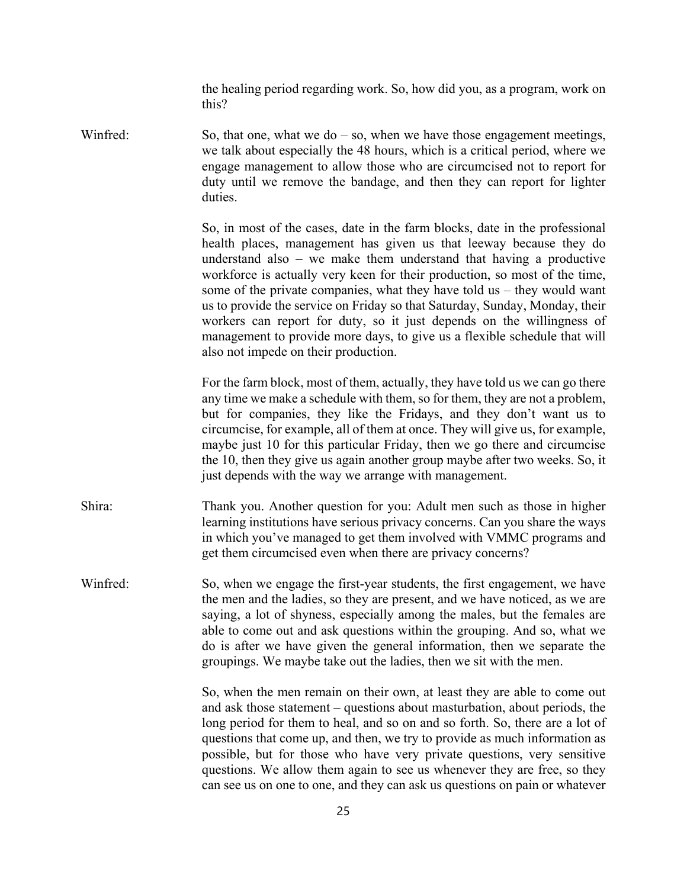the healing period regarding work. So, how did you, as a program, work on this?

Winfred: So, that one, what we do  $-$  so, when we have those engagement meetings, we talk about especially the 48 hours, which is a critical period, where we engage management to allow those who are circumcised not to report for duty until we remove the bandage, and then they can report for lighter duties.

> So, in most of the cases, date in the farm blocks, date in the professional health places, management has given us that leeway because they do understand also – we make them understand that having a productive workforce is actually very keen for their production, so most of the time, some of the private companies, what they have told us – they would want us to provide the service on Friday so that Saturday, Sunday, Monday, their workers can report for duty, so it just depends on the willingness of management to provide more days, to give us a flexible schedule that will also not impede on their production.

> For the farm block, most of them, actually, they have told us we can go there any time we make a schedule with them, so for them, they are not a problem, but for companies, they like the Fridays, and they don't want us to circumcise, for example, all of them at once. They will give us, for example, maybe just 10 for this particular Friday, then we go there and circumcise the 10, then they give us again another group maybe after two weeks. So, it just depends with the way we arrange with management.

Shira: Thank you. Another question for you: Adult men such as those in higher learning institutions have serious privacy concerns. Can you share the ways in which you've managed to get them involved with VMMC programs and get them circumcised even when there are privacy concerns?

Winfred: So, when we engage the first-year students, the first engagement, we have the men and the ladies, so they are present, and we have noticed, as we are saying, a lot of shyness, especially among the males, but the females are able to come out and ask questions within the grouping. And so, what we do is after we have given the general information, then we separate the groupings. We maybe take out the ladies, then we sit with the men.

> So, when the men remain on their own, at least they are able to come out and ask those statement – questions about masturbation, about periods, the long period for them to heal, and so on and so forth. So, there are a lot of questions that come up, and then, we try to provide as much information as possible, but for those who have very private questions, very sensitive questions. We allow them again to see us whenever they are free, so they can see us on one to one, and they can ask us questions on pain or whatever